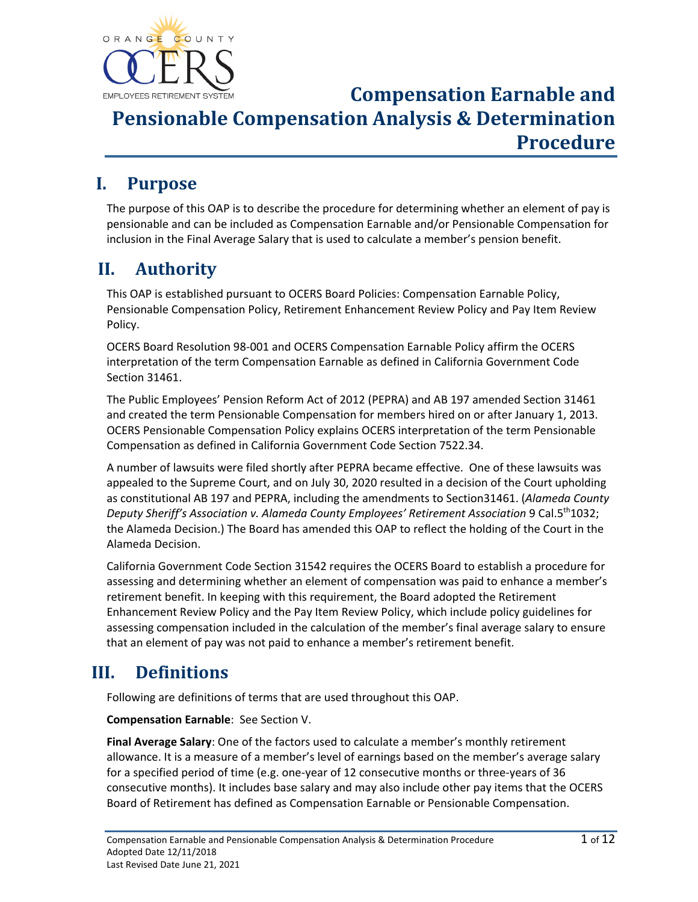

### **I. Purpose**

The purpose of this OAP is to describe the procedure for determining whether an element of pay is pensionable and can be included as Compensation Earnable and/or Pensionable Compensation for inclusion in the Final Average Salary that is used to calculate a member's pension benefit.

## **II. Authority**

This OAP is established pursuant to OCERS Board Policies: Compensation Earnable Policy, Pensionable Compensation Policy, Retirement Enhancement Review Policy and Pay Item Review Policy.

OCERS Board Resolution 98-001 and OCERS Compensation Earnable Policy affirm the OCERS interpretation of the term Compensation Earnable as defined in California Government Code Section 31461.

The Public Employees' Pension Reform Act of 2012 (PEPRA) and AB 197 amended Section 31461 and created the term Pensionable Compensation for members hired on or after January 1, 2013. OCERS Pensionable Compensation Policy explains OCERS interpretation of the term Pensionable Compensation as defined in California Government Code Section 7522.34.

A number of lawsuits were filed shortly after PEPRA became effective. One of these lawsuits was appealed to the Supreme Court, and on July 30, 2020 resulted in a decision of the Court upholding as constitutional AB 197 and PEPRA, including the amendments to Section31461. (*Alameda County Deputy Sheriff's Association v. Alameda County Employees' Retirement Association* 9 Cal.5<sup>th</sup>1032; the Alameda Decision.) The Board has amended this OAP to reflect the holding of the Court in the Alameda Decision.

California Government Code Section 31542 requires the OCERS Board to establish a procedure for assessing and determining whether an element of compensation was paid to enhance a member's retirement benefit. In keeping with this requirement, the Board adopted the Retirement Enhancement Review Policy and the Pay Item Review Policy, which include policy guidelines for assessing compensation included in the calculation of the member's final average salary to ensure that an element of pay was not paid to enhance a member's retirement benefit.

### **III. Definitions**

Following are definitions of terms that are used throughout this OAP.

**Compensation Earnable**: See Section V.

**Final Average Salary**: One of the factors used to calculate a member's monthly retirement allowance. It is a measure of a member's level of earnings based on the member's average salary for a specified period of time (e.g. one-year of 12 consecutive months or three-years of 36 consecutive months). It includes base salary and may also include other pay items that the OCERS Board of Retirement has defined as Compensation Earnable or Pensionable Compensation.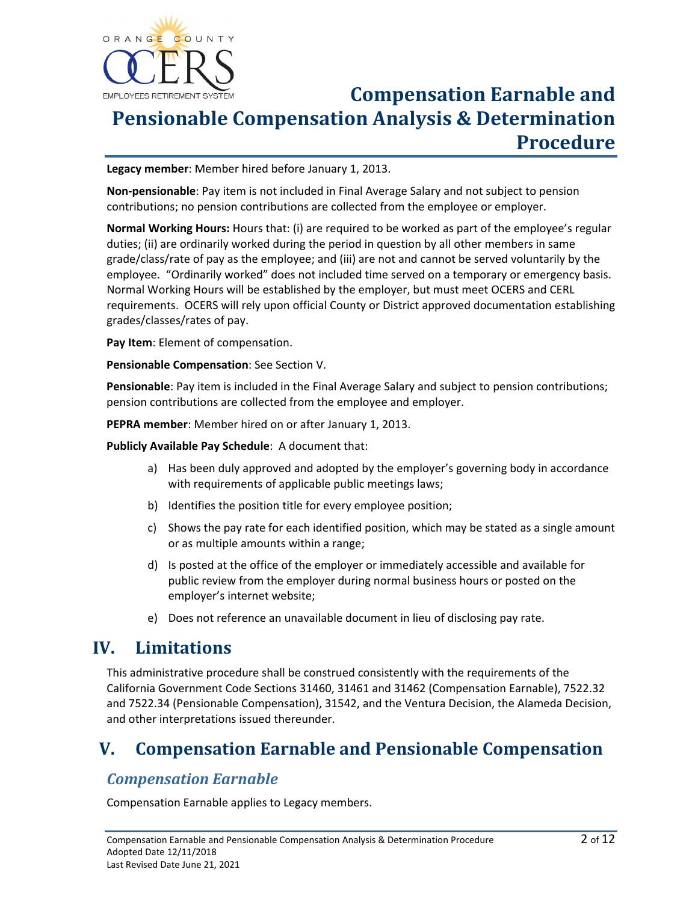

**Legacy member**: Member hired before January 1, 2013.

**Non-pensionable**: Pay item is not included in Final Average Salary and not subject to pension contributions; no pension contributions are collected from the employee or employer.

**Normal Working Hours:** Hours that: (i) are required to be worked as part of the employee's regular duties; (ii) are ordinarily worked during the period in question by all other members in same grade/class/rate of pay as the employee; and (iii) are not and cannot be served voluntarily by the employee. "Ordinarily worked" does not included time served on a temporary or emergency basis. Normal Working Hours will be established by the employer, but must meet OCERS and CERL requirements. OCERS will rely upon official County or District approved documentation establishing grades/classes/rates of pay.

**Pay Item**: Element of compensation.

**Pensionable Compensation**: See Section V.

**Pensionable**: Pay item is included in the Final Average Salary and subject to pension contributions; pension contributions are collected from the employee and employer.

**PEPRA member**: Member hired on or after January 1, 2013.

**Publicly Available Pay Schedule**: A document that:

- a) Has been duly approved and adopted by the employer's governing body in accordance with requirements of applicable public meetings laws;
- b) Identifies the position title for every employee position;
- c) Shows the pay rate for each identified position, which may be stated as a single amount or as multiple amounts within a range;
- d) Is posted at the office of the employer or immediately accessible and available for public review from the employer during normal business hours or posted on the employer's internet website;
- e) Does not reference an unavailable document in lieu of disclosing pay rate.

### **IV. Limitations**

This administrative procedure shall be construed consistently with the requirements of the California Government Code Sections 31460, 31461 and 31462 (Compensation Earnable), 7522.32 and 7522.34 (Pensionable Compensation), 31542, and the Ventura Decision, the Alameda Decision, and other interpretations issued thereunder.

### **V. Compensation Earnable and Pensionable Compensation**

### *Compensation Earnable*

Compensation Earnable applies to Legacy members.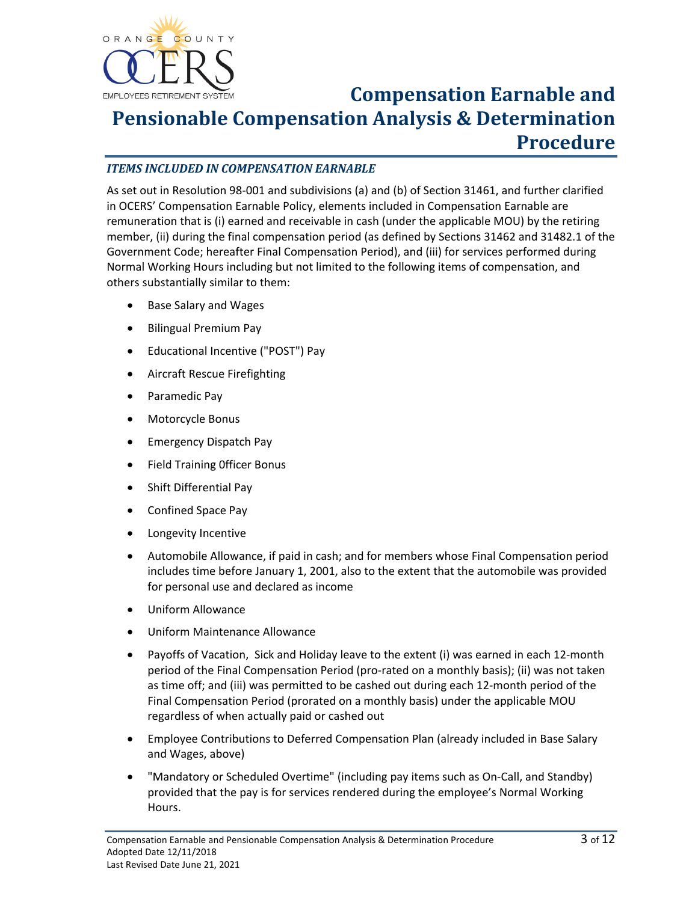

#### *ITEMS INCLUDED IN COMPENSATION EARNABLE*

As set out in Resolution 98-001 and subdivisions (a) and (b) of Section 31461, and further clarified in OCERS' Compensation Earnable Policy, elements included in Compensation Earnable are remuneration that is (i) earned and receivable in cash (under the applicable MOU) by the retiring member, (ii) during the final compensation period (as defined by Sections 31462 and 31482.1 of the Government Code; hereafter Final Compensation Period), and (iii) for services performed during Normal Working Hours including but not limited to the following items of compensation, and others substantially similar to them:

- Base Salary and Wages
- Bilingual Premium Pay
- Educational Incentive ("POST") Pay
- Aircraft Rescue Firefighting
- Paramedic Pay
- Motorcycle Bonus
- Emergency Dispatch Pay
- Field Training 0fficer Bonus
- Shift Differential Pay
- Confined Space Pay
- Longevity Incentive
- Automobile Allowance, if paid in cash; and for members whose Final Compensation period includes time before January 1, 2001, also to the extent that the automobile was provided for personal use and declared as income
- Uniform Allowance
- Uniform Maintenance Allowance
- Payoffs of Vacation, Sick and Holiday leave to the extent (i) was earned in each 12-month period of the Final Compensation Period (pro-rated on a monthly basis); (ii) was not taken as time off; and (iii) was permitted to be cashed out during each 12-month period of the Final Compensation Period (prorated on a monthly basis) under the applicable MOU regardless of when actually paid or cashed out
- Employee Contributions to Deferred Compensation Plan (already included in Base Salary and Wages, above)
- "Mandatory or Scheduled Overtime" (including pay items such as On-Call, and Standby) provided that the pay is for services rendered during the employee's Normal Working Hours.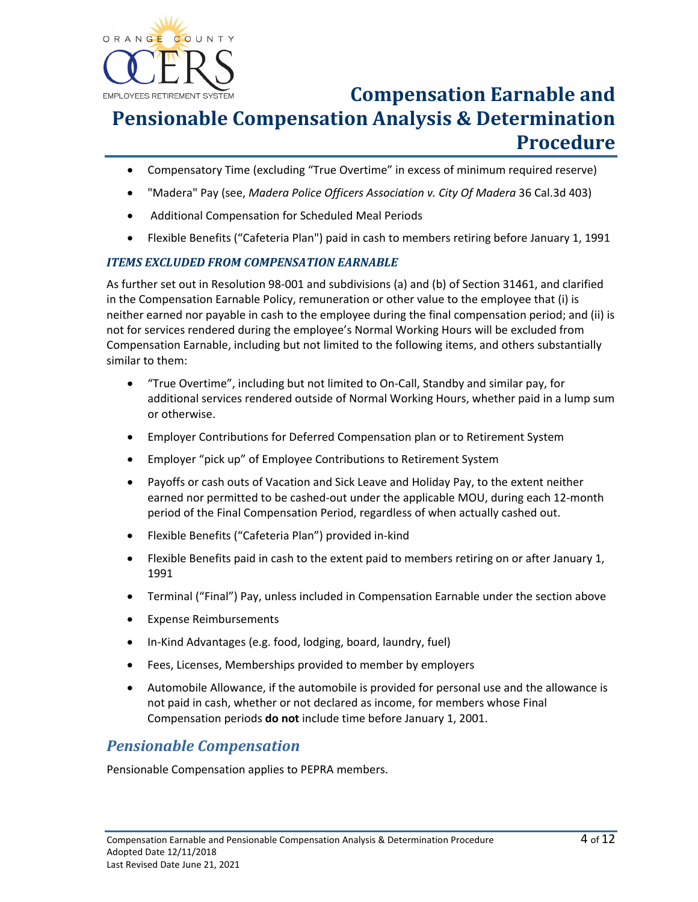

- Compensatory Time (excluding "True Overtime" in excess of minimum required reserve)
- "Madera" Pay (see, *Madera Police Officers Association v. City Of Madera* 36 Cal.3d 403)
- Additional Compensation for Scheduled Meal Periods
- Flexible Benefits ("Cafeteria Plan") paid in cash to members retiring before January 1, 1991

#### *ITEMS EXCLUDED FROM COMPENSATION EARNABLE*

As further set out in Resolution 98-001 and subdivisions (a) and (b) of Section 31461, and clarified in the Compensation Earnable Policy, remuneration or other value to the employee that (i) is neither earned nor payable in cash to the employee during the final compensation period; and (ii) is not for services rendered during the employee's Normal Working Hours will be excluded from Compensation Earnable, including but not limited to the following items, and others substantially similar to them:

- "True Overtime", including but not limited to On-Call, Standby and similar pay, for additional services rendered outside of Normal Working Hours, whether paid in a lump sum or otherwise.
- Employer Contributions for Deferred Compensation plan or to Retirement System
- Employer "pick up" of Employee Contributions to Retirement System
- Payoffs or cash outs of Vacation and Sick Leave and Holiday Pay, to the extent neither earned nor permitted to be cashed-out under the applicable MOU, during each 12-month period of the Final Compensation Period, regardless of when actually cashed out.
- Flexible Benefits ("Cafeteria Plan") provided in-kind
- Flexible Benefits paid in cash to the extent paid to members retiring on or after January 1, 1991
- Terminal ("Final") Pay, unless included in Compensation Earnable under the section above
- Expense Reimbursements
- In-Kind Advantages (e.g. food, lodging, board, laundry, fuel)
- Fees, Licenses, Memberships provided to member by employers
- Automobile Allowance, if the automobile is provided for personal use and the allowance is not paid in cash, whether or not declared as income, for members whose Final Compensation periods **do not** include time before January 1, 2001.

### *Pensionable Compensation*

Pensionable Compensation applies to PEPRA members.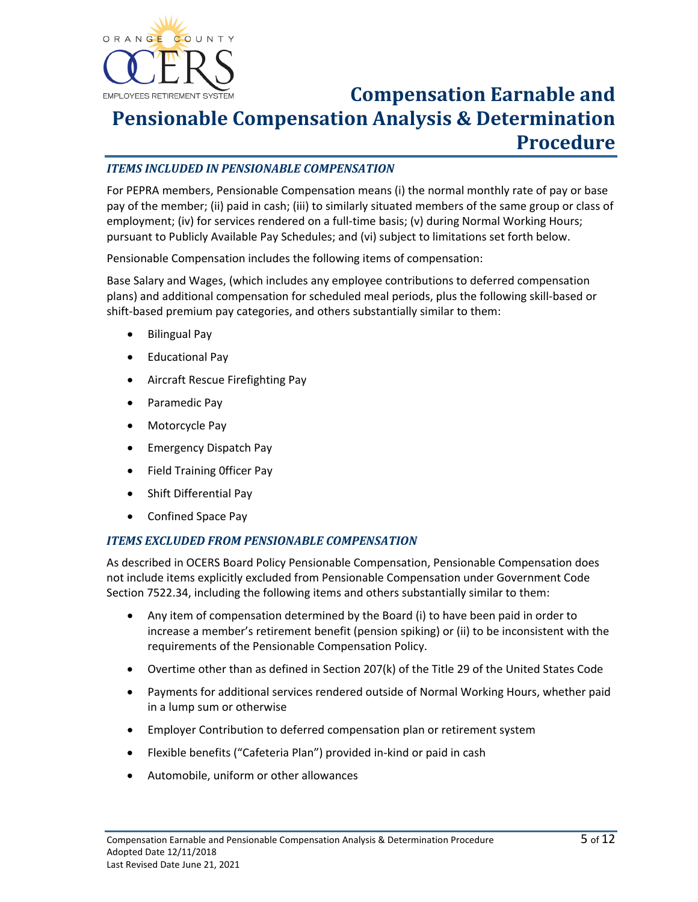

#### *ITEMS INCLUDED IN PENSIONABLE COMPENSATION*

For PEPRA members, Pensionable Compensation means (i) the normal monthly rate of pay or base pay of the member; (ii) paid in cash; (iii) to similarly situated members of the same group or class of employment; (iv) for services rendered on a full-time basis; (v) during Normal Working Hours; pursuant to Publicly Available Pay Schedules; and (vi) subject to limitations set forth below.

Pensionable Compensation includes the following items of compensation:

Base Salary and Wages, (which includes any employee contributions to deferred compensation plans) and additional compensation for scheduled meal periods, plus the following skill-based or shift-based premium pay categories, and others substantially similar to them:

- Bilingual Pay
- Educational Pay
- Aircraft Rescue Firefighting Pay
- Paramedic Pay
- Motorcycle Pay
- Emergency Dispatch Pay
- Field Training 0fficer Pay
- Shift Differential Pay
- Confined Space Pay

#### *ITEMS EXCLUDED FROM PENSIONABLE COMPENSATION*

As described in OCERS Board Policy Pensionable Compensation, Pensionable Compensation does not include items explicitly excluded from Pensionable Compensation under Government Code Section 7522.34, including the following items and others substantially similar to them:

- Any item of compensation determined by the Board (i) to have been paid in order to increase a member's retirement benefit (pension spiking) or (ii) to be inconsistent with the requirements of the Pensionable Compensation Policy.
- Overtime other than as defined in Section 207(k) of the Title 29 of the United States Code
- Payments for additional services rendered outside of Normal Working Hours, whether paid in a lump sum or otherwise
- Employer Contribution to deferred compensation plan or retirement system
- Flexible benefits ("Cafeteria Plan") provided in-kind or paid in cash
- Automobile, uniform or other allowances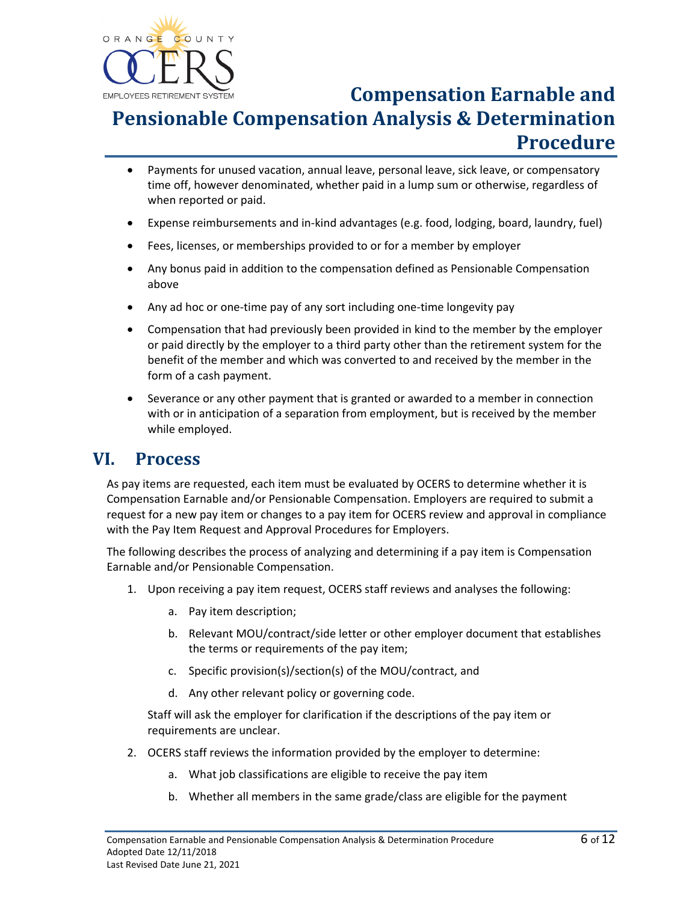

- Payments for unused vacation, annual leave, personal leave, sick leave, or compensatory time off, however denominated, whether paid in a lump sum or otherwise, regardless of when reported or paid.
- Expense reimbursements and in-kind advantages (e.g. food, lodging, board, laundry, fuel)
- Fees, licenses, or memberships provided to or for a member by employer
- Any bonus paid in addition to the compensation defined as Pensionable Compensation above
- Any ad hoc or one-time pay of any sort including one-time longevity pay
- Compensation that had previously been provided in kind to the member by the employer or paid directly by the employer to a third party other than the retirement system for the benefit of the member and which was converted to and received by the member in the form of a cash payment.
- Severance or any other payment that is granted or awarded to a member in connection with or in anticipation of a separation from employment, but is received by the member while employed.

### **VI. Process**

As pay items are requested, each item must be evaluated by OCERS to determine whether it is Compensation Earnable and/or Pensionable Compensation. Employers are required to submit a request for a new pay item or changes to a pay item for OCERS review and approval in compliance with the Pay Item Request and Approval Procedures for Employers.

The following describes the process of analyzing and determining if a pay item is Compensation Earnable and/or Pensionable Compensation.

- 1. Upon receiving a pay item request, OCERS staff reviews and analyses the following:
	- a. Pay item description;
	- b. Relevant MOU/contract/side letter or other employer document that establishes the terms or requirements of the pay item;
	- c. Specific provision(s)/section(s) of the MOU/contract, and
	- d. Any other relevant policy or governing code.

Staff will ask the employer for clarification if the descriptions of the pay item or requirements are unclear.

- 2. OCERS staff reviews the information provided by the employer to determine:
	- a. What job classifications are eligible to receive the pay item
	- b. Whether all members in the same grade/class are eligible for the payment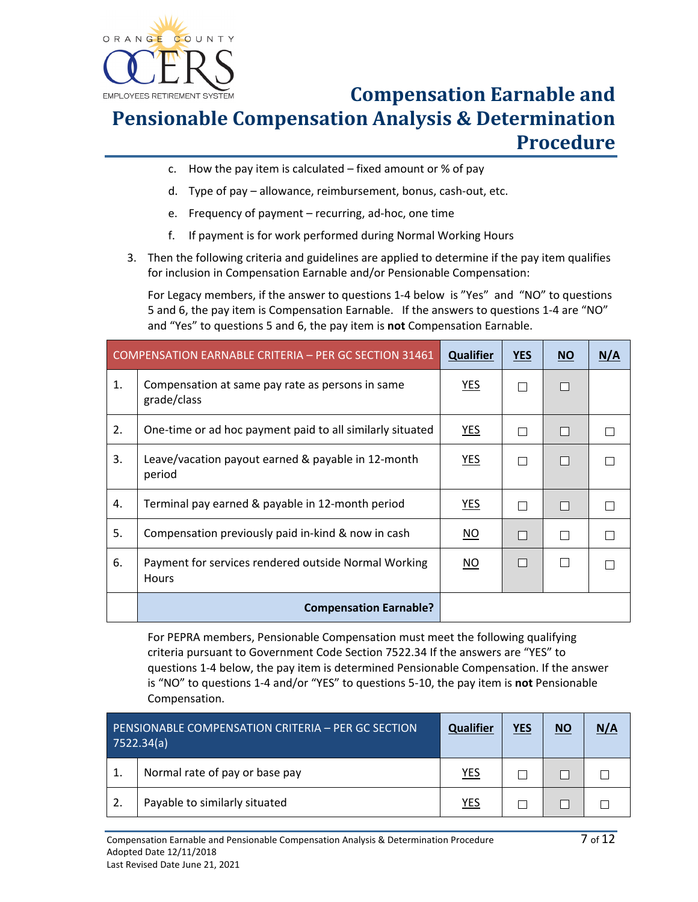

- c. How the pay item is calculated fixed amount or % of pay
- d. Type of pay allowance, reimbursement, bonus, cash-out, etc.
- e. Frequency of payment recurring, ad-hoc, one time
- f. If payment is for work performed during Normal Working Hours
- 3. Then the following criteria and guidelines are applied to determine if the pay item qualifies for inclusion in Compensation Earnable and/or Pensionable Compensation:

For Legacy members, if the answer to questions 1-4 below is "Yes" and "NO" to questions 5 and 6, the pay item is Compensation Earnable. If the answers to questions 1-4 are "NO" and "Yes" to questions 5 and 6, the pay item is **not** Compensation Earnable.

|    | COMPENSATION EARNABLE CRITERIA - PER GC SECTION 31461                | <b>Qualifier</b> | <b>YES</b> | <b>NO</b> | N/A |
|----|----------------------------------------------------------------------|------------------|------------|-----------|-----|
| 1. | Compensation at same pay rate as persons in same<br>grade/class      | YES              |            |           |     |
| 2. | One-time or ad hoc payment paid to all similarly situated            | YES              |            |           |     |
| 3. | Leave/vacation payout earned & payable in 12-month<br>period         | YES              |            |           |     |
| 4. | Terminal pay earned & payable in 12-month period                     | YES              |            |           |     |
| 5. | Compensation previously paid in-kind & now in cash                   | NO.              |            |           |     |
| 6. | Payment for services rendered outside Normal Working<br><b>Hours</b> | <u>NO</u>        |            |           |     |
|    | <b>Compensation Earnable?</b>                                        |                  |            |           |     |

For PEPRA members, Pensionable Compensation must meet the following qualifying criteria pursuant to Government Code Section 7522.34 If the answers are "YES" to questions 1-4 below, the pay item is determined Pensionable Compensation. If the answer is "NO" to questions 1-4 and/or "YES" to questions 5-10, the pay item is **not** Pensionable Compensation.

|    | PENSIONABLE COMPENSATION CRITERIA - PER GC SECTION<br>7522.34(a) | <b>Qualifier</b> | <b>YES</b> | <b>NO</b> | N/A |
|----|------------------------------------------------------------------|------------------|------------|-----------|-----|
|    | Normal rate of pay or base pay                                   | YES              |            |           |     |
| 2. | Payable to similarly situated                                    | YES              |            |           |     |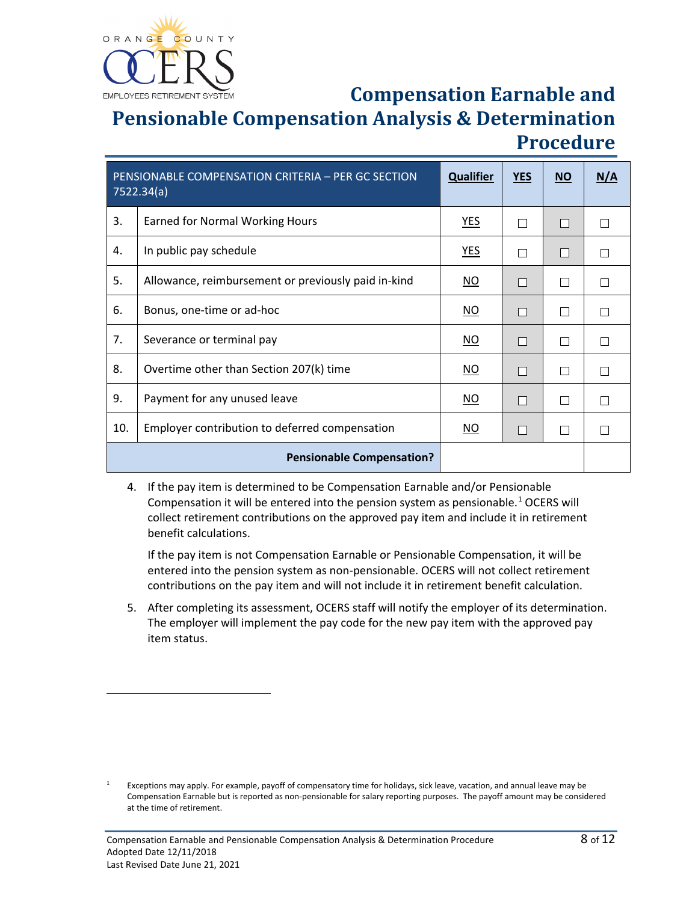

 $\overline{a}$ 

# **Compensation Earnable and**

# **Pensionable Compensation Analysis & Determination Procedure**

|                                  | PENSIONABLE COMPENSATION CRITERIA - PER GC SECTION<br>7522.34(a) | <b>Qualifier</b>          | <b>YES</b> | <b>NO</b> | N/A |
|----------------------------------|------------------------------------------------------------------|---------------------------|------------|-----------|-----|
| 3.                               | <b>Earned for Normal Working Hours</b>                           | <b>YES</b>                | П          | Н         |     |
| 4.                               | In public pay schedule                                           | YES.                      |            | П         |     |
| 5.                               | Allowance, reimbursement or previously paid in-kind              | $\underline{\mathsf{NO}}$ | П          | П         |     |
| 6.                               | Bonus, one-time or ad-hoc                                        | NO.                       | П          | П         |     |
| 7.                               | Severance or terminal pay                                        | NO.                       | П          | П         |     |
| 8.                               | Overtime other than Section 207(k) time                          | NO.                       | П          | П         |     |
| 9.                               | Payment for any unused leave                                     | NO.                       | П          | П         |     |
| 10.                              | Employer contribution to deferred compensation                   | $\overline{NO}$           |            | П         |     |
| <b>Pensionable Compensation?</b> |                                                                  |                           |            |           |     |

4. If the pay item is determined to be Compensation Earnable and/or Pensionable Compensation it will be entered into the pension system as pensionable.<sup>[1](#page-7-0)</sup> OCERS will collect retirement contributions on the approved pay item and include it in retirement benefit calculations.

If the pay item is not Compensation Earnable or Pensionable Compensation, it will be entered into the pension system as non-pensionable. OCERS will not collect retirement contributions on the pay item and will not include it in retirement benefit calculation.

5. After completing its assessment, OCERS staff will notify the employer of its determination. The employer will implement the pay code for the new pay item with the approved pay item status.

<span id="page-7-0"></span><sup>1</sup> Exceptions may apply. For example, payoff of compensatory time for holidays, sick leave, vacation, and annual leave may be Compensation Earnable but is reported as non-pensionable for salary reporting purposes. The payoff amount may be considered at the time of retirement.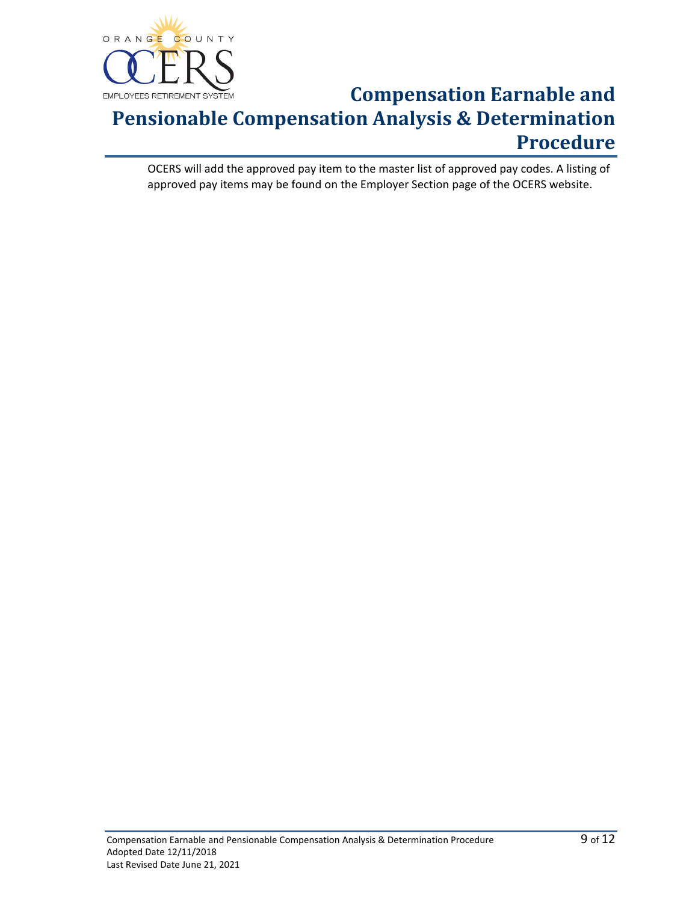

OCERS will add the approved pay item to the master list of approved pay codes. A listing of approved pay items may be found on the Employer Section page of the OCERS website.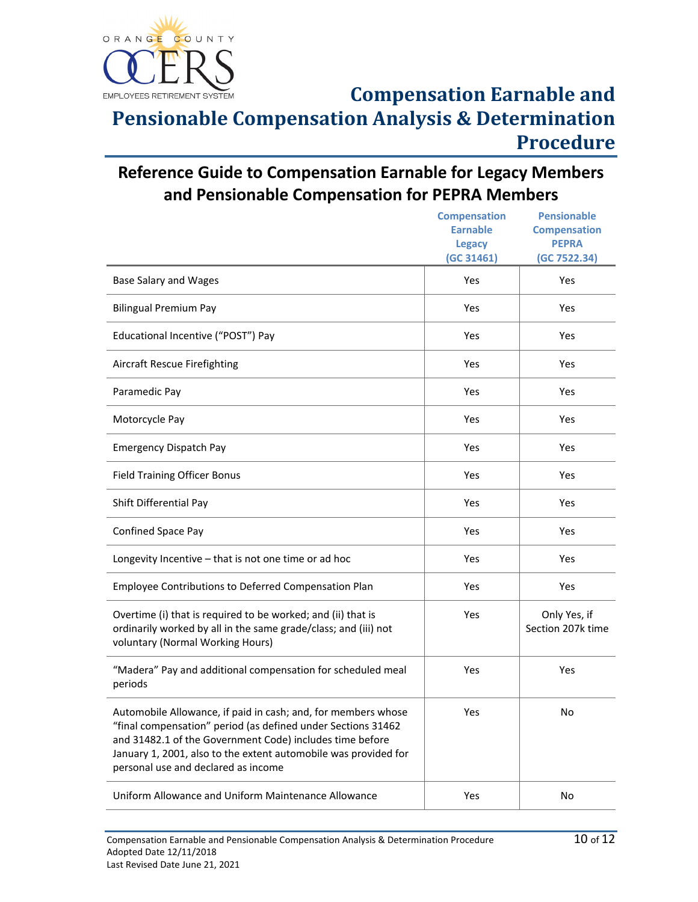

**Compensation Earnable and** 

**Pensionable Compensation Analysis & Determination Procedure** 

**Reference Guide to Compensation Earnable for Legacy Members and Pensionable Compensation for PEPRA Members**

|                                                                                                                                                                                                                                                                                                     | <b>Compensation</b><br><b>Earnable</b><br><b>Legacy</b><br>(GC 31461) | <b>Pensionable</b><br><b>Compensation</b><br><b>PEPRA</b><br>(GC 7522.34) |
|-----------------------------------------------------------------------------------------------------------------------------------------------------------------------------------------------------------------------------------------------------------------------------------------------------|-----------------------------------------------------------------------|---------------------------------------------------------------------------|
| <b>Base Salary and Wages</b>                                                                                                                                                                                                                                                                        | Yes                                                                   | Yes                                                                       |
| <b>Bilingual Premium Pay</b>                                                                                                                                                                                                                                                                        | Yes                                                                   | Yes                                                                       |
| Educational Incentive ("POST") Pay                                                                                                                                                                                                                                                                  | Yes                                                                   | Yes                                                                       |
| <b>Aircraft Rescue Firefighting</b>                                                                                                                                                                                                                                                                 | Yes                                                                   | Yes                                                                       |
| Paramedic Pay                                                                                                                                                                                                                                                                                       | Yes                                                                   | Yes                                                                       |
| Motorcycle Pay                                                                                                                                                                                                                                                                                      | Yes                                                                   | Yes                                                                       |
| <b>Emergency Dispatch Pay</b>                                                                                                                                                                                                                                                                       | Yes                                                                   | Yes                                                                       |
| <b>Field Training Officer Bonus</b>                                                                                                                                                                                                                                                                 | Yes                                                                   | Yes                                                                       |
| Shift Differential Pay                                                                                                                                                                                                                                                                              | Yes                                                                   | Yes                                                                       |
| Confined Space Pay                                                                                                                                                                                                                                                                                  | Yes                                                                   | Yes                                                                       |
| Longevity Incentive - that is not one time or ad hoc                                                                                                                                                                                                                                                | Yes                                                                   | Yes                                                                       |
| Employee Contributions to Deferred Compensation Plan                                                                                                                                                                                                                                                | Yes                                                                   | Yes                                                                       |
| Overtime (i) that is required to be worked; and (ii) that is<br>ordinarily worked by all in the same grade/class; and (iii) not<br>voluntary (Normal Working Hours)                                                                                                                                 | Yes                                                                   | Only Yes, if<br>Section 207k time                                         |
| "Madera" Pay and additional compensation for scheduled meal<br>periods                                                                                                                                                                                                                              | Yes                                                                   | Yes                                                                       |
| Automobile Allowance, if paid in cash; and, for members whose<br>"final compensation" period (as defined under Sections 31462<br>and 31482.1 of the Government Code) includes time before<br>January 1, 2001, also to the extent automobile was provided for<br>personal use and declared as income | Yes                                                                   | No                                                                        |
| Uniform Allowance and Uniform Maintenance Allowance                                                                                                                                                                                                                                                 | Yes                                                                   | No                                                                        |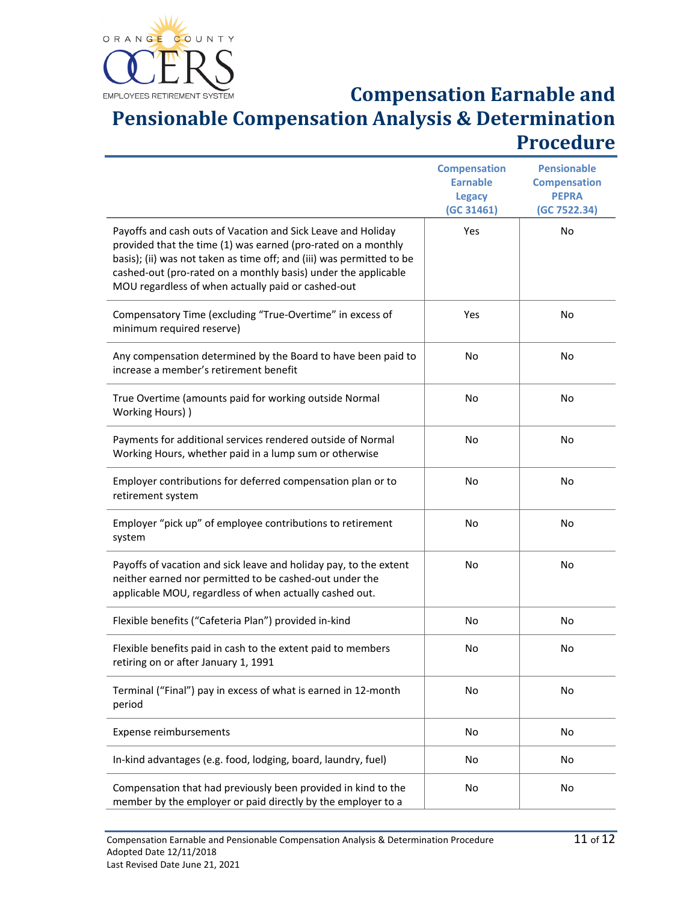

# **Compensation Earnable and**

## **Pensionable Compensation Analysis & Determination Procedure**

|                                                                                                                                                                                                                                                                                                                                | <b>Compensation</b><br><b>Earnable</b><br><b>Legacy</b><br>(GC 31461) | <b>Pensionable</b><br><b>Compensation</b><br><b>PEPRA</b><br>(GC 7522.34) |
|--------------------------------------------------------------------------------------------------------------------------------------------------------------------------------------------------------------------------------------------------------------------------------------------------------------------------------|-----------------------------------------------------------------------|---------------------------------------------------------------------------|
| Payoffs and cash outs of Vacation and Sick Leave and Holiday<br>provided that the time (1) was earned (pro-rated on a monthly<br>basis); (ii) was not taken as time off; and (iii) was permitted to be<br>cashed-out (pro-rated on a monthly basis) under the applicable<br>MOU regardless of when actually paid or cashed-out | Yes                                                                   | No                                                                        |
| Compensatory Time (excluding "True-Overtime" in excess of<br>minimum required reserve)                                                                                                                                                                                                                                         | Yes                                                                   | No                                                                        |
| Any compensation determined by the Board to have been paid to<br>increase a member's retirement benefit                                                                                                                                                                                                                        | No                                                                    | No                                                                        |
| True Overtime (amounts paid for working outside Normal<br>Working Hours) )                                                                                                                                                                                                                                                     | No                                                                    | No                                                                        |
| Payments for additional services rendered outside of Normal<br>Working Hours, whether paid in a lump sum or otherwise                                                                                                                                                                                                          | No                                                                    | No                                                                        |
| Employer contributions for deferred compensation plan or to<br>retirement system                                                                                                                                                                                                                                               | No                                                                    | No                                                                        |
| Employer "pick up" of employee contributions to retirement<br>system                                                                                                                                                                                                                                                           | No                                                                    | No                                                                        |
| Payoffs of vacation and sick leave and holiday pay, to the extent<br>neither earned nor permitted to be cashed-out under the<br>applicable MOU, regardless of when actually cashed out.                                                                                                                                        | No                                                                    | No                                                                        |
| Flexible benefits ("Cafeteria Plan") provided in-kind                                                                                                                                                                                                                                                                          | No                                                                    | No                                                                        |
| Flexible benefits paid in cash to the extent paid to members<br>retiring on or after January 1, 1991                                                                                                                                                                                                                           | No                                                                    | No                                                                        |
| Terminal ("Final") pay in excess of what is earned in 12-month<br>period                                                                                                                                                                                                                                                       | No                                                                    | No                                                                        |
| <b>Expense reimbursements</b>                                                                                                                                                                                                                                                                                                  | No                                                                    | No                                                                        |
| In-kind advantages (e.g. food, lodging, board, laundry, fuel)                                                                                                                                                                                                                                                                  | No                                                                    | No                                                                        |
| Compensation that had previously been provided in kind to the<br>member by the employer or paid directly by the employer to a                                                                                                                                                                                                  | No                                                                    | No                                                                        |